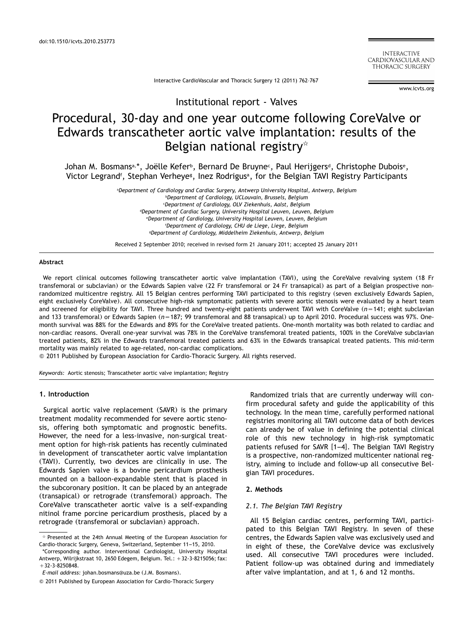**INTERACTIVE** CARDIOVASCULAR AND THORACIC SURGERY

Interactive CardioVascular and Thoracic Surgery 12 (2011) 762–767

www.icvts.org

Institutional report - Valves

# Procedural, 30-day and one year outcome following CoreValve or Edwards transcatheter aortic valve implantation: results of the Belgian national registry\*

Johan M. Bosmans<sup>a,\*</sup>, Joëlle Kefer<sup>b</sup>, Bernard De Bruyne<sup>c</sup>, Paul Herijgers<sup>d</sup>, Christophe Dubois<sup>e</sup>, Victor Legrand<sup>f</sup>, Stephan Verheye<sup>g</sup>, Inez Rodrigus<sup>a</sup>, for the Belgian TAVI Registry Participants

> a *Department of Cardiology and Cardiac Surgery, Antwerp University Hospital, Antwerp, Belgium* b *Department of Cardiology, UCLouvain, Brussels, Belgium* c *Department of Cardiology, OLV Ziekenhuis, Aalst, Belgium* d *Department of Cardiac Surgery, University Hospital Leuven, Leuven, Belgium* e *Department of Cardiology, University Hospital Leuven, Leuven, Belgium* f *Department of Cardiology, CHU de Liege, Liege, Belgium* g *Department of Cardiology, Middelheim Ziekenhuis, Antwerp, Belgium*

> Received 2 September 2010; received in revised form 21 January 2011; accepted 25 January 2011

#### **Abstract**

We report clinical outcomes following transcatheter aortic valve implantation (TAVI), using the CoreValve revalving system (18 Fr transfemoral or subclavian) or the Edwards Sapien valve (22 Fr transfemoral or 24 Fr transapical) as part of a Belgian prospective nonrandomized multicentre registry. All 15 Belgian centres performing TAVI participated to this registry (seven exclusively Edwards Sapien, eight exclusively CoreValve). All consecutive high-risk symptomatic patients with severe aortic stenosis were evaluated by a heart team and screened for eligibility for TAVI. Three hundred and twenty-eight patients underwent TAVI with CoreValve (n=141; eight subclavian and 133 transfemoral) or Edwards Sapien (n=187; 99 transfemoral and 88 transapical) up to April 2010. Procedural success was 97%. Onemonth survival was 88% for the Edwards and 89% for the CoreValve treated patients. One-month mortality was both related to cardiac and non-cardiac reasons. Overall one-year survival was 78% in the CoreValve transfemoral treated patients, 100% in the CoreValve subclavian treated patients, 82% in the Edwards transfemoral treated patients and 63% in the Edwards transapical treated patients. This mid-term mortality was mainly related to age-related, non-cardiac complications.

2011 Published by European Association for Cardio-Thoracic Surgery. All rights reserved.

*Keywords:* Aortic stenosis; Transcatheter aortic valve implantation; Registry

## **1. Introduction**

Surgical aortic valve replacement (SAVR) is the primary treatment modality recommended for severe aortic stenosis, offering both symptomatic and prognostic benefits. However, the need for a less-invasive, non-surgical treatment option for high-risk patients has recently culminated in development of transcatheter aortic valve implantation (TAVI). Currently, two devices are clinically in use. The Edwards Sapien valve is a bovine pericardium prosthesis mounted on a balloon-expandable stent that is placed in the subcoronary position. It can be placed by an antegrade (transapical) or retrograde (transfemoral) approach. The CoreValve transcatheter aortic valve is a self-expanding nitinol frame porcine pericardium prosthesis, placed by a retrograde (transfemoral or subclavian) approach.

\*Corresponding author. Interventional Cardiologist, University Hospital Antwerp, Wilrijkstraat 10, 2650 Edegem, Belgium. Tel.:  $+32-3-8215056$ ; fax:  $+32-3-8250848.$ 

Randomized trials that are currently underway will confirm procedural safety and guide the applicability of this technology. In the mean time, carefully performed national registries monitoring all TAVI outcome data of both devices can already be of value in defining the potential clinical role of this new technology in high-risk symptomatic patients refused for SAVR [1–4]. The Belgian TAVI Registry is a prospective, non-rand[omized](#page-4-0) multicenter national registry, aiming to include and follow-up all consecutive Belgian TAVI procedures.

#### **2. Methods**

#### *2.1. The Belgian TAVI Registry*

All 15 Belgian cardiac centres, performing TAVI, participated to this Belgian TAVI Registry. In seven of these centres, the Edwards Sapien valve was exclusively used and in eight of these, the CoreValve device was exclusively used. All consecutive TAVI procedures were included. Patient follow-up was obtained during and immediately after valve implantation, and at 1, 6 and 12 months.

 $*$  Presented at the 24th Annual Meeting of the European Association for Cardio-thoracic Surgery, Geneva, Switzerland, September 11–15, 2010.

*E-mail address:* johan.bosmans@uza.be (J.M. Bosmans).

2011 Published by European Association for Cardio-Thoracic Surgery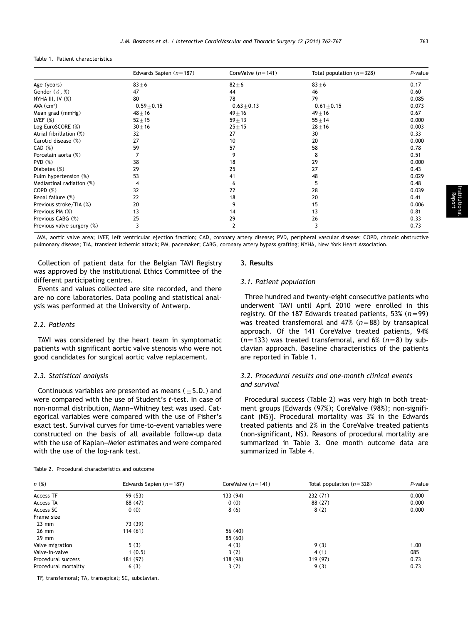Table 1. Patient characteristics

|                            | Edwards Sapien $(n=187)$ | CoreValve $(n=141)$ | Total population $(n=328)$ | P-value |
|----------------------------|--------------------------|---------------------|----------------------------|---------|
| Age (years)                | $83 + 6$                 | $82 \pm 6$          | $83 + 6$                   | 0.17    |
| Gender $(\delta, \%)$      | 47                       | 44                  | 46                         | 0.60    |
| NYHA III, IV (%)           | 80                       | 78                  | 79                         | 0.085   |
| $AVA$ ( $cm2$ )            | $0.59 + 0.15$            | $0.63 \pm 0.13$     | $0.61 + 0.15$              | 0.073   |
| Mean grad (mmHg)           | $48 + 16$                | $49 + 16$           | $49 \pm 16$                | 0.67    |
| LVEF $(%)$                 | $52 + 15$                | $59 + 13$           | $55 \pm 14$                | 0.000   |
| Log EuroSCORE (%)          | $30 + 16$                | $25 + 15$           | $28 + 16$                  | 0.003   |
| Atrial fibrillation (%)    | 32                       | 27                  | 30                         | 0.33    |
| Carotid disease (%)        | 27                       | 10                  | 20                         | 0.000   |
| CAD (%)                    | 59                       | 57                  | 58                         | 0.78    |
| Porcelain aorta (%)        |                          | 9                   | 8                          | 0.51    |
| PVD(%)                     | 38                       | 18                  | 29                         | 0.000   |
| Diabetes (%)               | 29                       | 25                  | 27                         | 0.43    |
| Pulm hypertension (%)      | 53                       | 41                  | 48                         | 0.029   |
| Mediastinal radiation (%)  |                          | 6                   | 5                          | 0.48    |
| COPD <sub>(%)</sub>        | 32                       | 22                  | 28                         | 0.039   |
| Renal failure (%)          | 22                       | 18                  | 20                         | 0.41    |
| Previous stroke/TIA (%)    | 20                       | 9                   | 15                         | 0.006   |
| Previous PM (%)            | 13                       | 14                  | 13                         | 0.81    |
| Previous CABG (%)          | 25                       | 29                  | 26                         | 0.33    |
| Previous valve surgery (%) | 3                        | 2                   | 3                          | 0.73    |

AVA, aortic valve area; LVEF, left ventricular ejection fraction; CAD, coronary artery disease; PVD, peripheral vascular disease; COPD, chronic obstructive pulmonary disease; TIA, transient ischemic attack; PM, pacemaker; CABG, coronary artery bypass grafting; NYHA, New York Heart Association.

Collection of patient data for the Belgian TAVI Registry was approved by the institutional Ethics Committee of the different participating centres.

Events and values collected are site recorded, and there are no core laboratories. Data pooling and statistical analysis was performed at the University of Antwerp.

# *2.2. Patients*

TAVI was considered by the heart team in symptomatic patients with significant aortic valve stenosis who were not good candidates for surgical aortic valve replacement.

## *2.3. Statistical analysis*

Continuous variables are presented as means  $(\pm 5. D.)$  and were compared with the use of Student's *t*-test. In case of non-normal distribution, Mann–Whitney test was used. Categorical variables were compared with the use of Fisher's exact test. Survival curves for time-to-event variables were constructed on the basis of all available follow-up data with the use of Kaplan–Meier estimates and were compared with the use of the log-rank test.

# **3. Results**

#### *3.1. Patient population*

Three hundred and twenty-eight consecutive patients who underwent TAVI until April 2010 were enrolled in this registry. Of the 187 Edwards treated patients, 53%  $(n=99)$ was treated transfemoral and  $47\%$   $(n=88)$  by transapical approach. Of the 141 CoreValve treated patients, 94%  $(n=133)$  was treated transfemoral, and 6%  $(n=8)$  by subclavian approach. Baseline characteristics of the patients are reported in Table 1.

# *3.2. Procedural results and one-month clinical events and survival*

Procedural success (Table 2) was very high in both treatment groups [Edwards (97%); CoreValve (98%); non-significant (NS)]. Procedural mortality was 3% in the Edwards treated patients and 2% in the CoreValve treated patients (non-significant, NS). Reasons of procedural mortality are summarized in [Table 3.](#page-2-0) One month outcome data are summarized in [Table 4.](#page-2-0)

| n(%)                 | Edwards Sapien $(n=187)$ | CoreValve $(n=141)$ | Total population $(n=328)$ | P-value |
|----------------------|--------------------------|---------------------|----------------------------|---------|
| Access TF            | 99 (53)                  | 133 (94)            | 232(71)                    | 0.000   |
| Access TA            | 88 (47)                  | 0(0)                | 88 (27)                    | 0.000   |
| Access SC            | 0(0)                     | 8(6)                | 8(2)                       | 0.000   |
| Frame size           |                          |                     |                            |         |
| $23 \text{ mm}$      | 73 (39)                  |                     |                            |         |
| 26 mm                | 114(61)                  | 56 $(40)$           |                            |         |
| $29$ mm              |                          | 85(60)              |                            |         |
| Valve migration      | 5(3)                     | 4(3)                | 9(3)                       | 1.00    |
| Valve-in-valve       | 1(0.5)                   | 3(2)                | 4(1)                       | 085     |
| Procedural success   | 181 (97)                 | 138 (98)            | 319(97)                    | 0.73    |
| Procedural mortality | 6(3)                     | 3(2)                | 9(3)                       | 0.73    |

Table 2. Procedural characteristics and outcome

TF, transfemoral; TA, transapical; SC, subclavian.

Institutional<br>Report

Report Follow-up Paper Editorial Protocol Proposal for Bail- out Procedure Nomenclature Historical Pages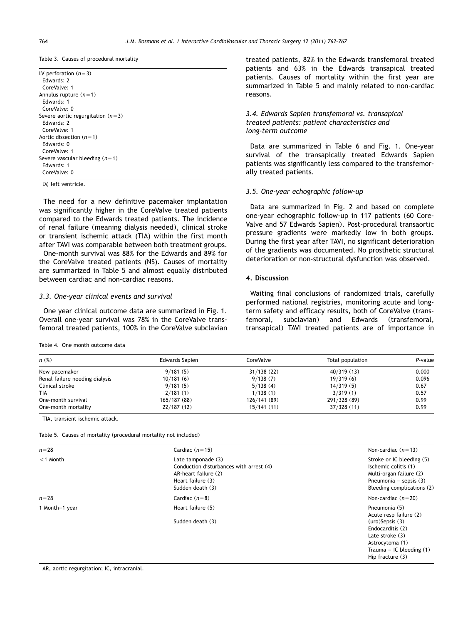<span id="page-2-0"></span>Table 3. Causes of procedural mortality

| LV perforation $(n=3)$              |  |
|-------------------------------------|--|
| Edwards: 2                          |  |
| CoreValve: 1                        |  |
| Annulus rupture $(n=1)$             |  |
| Edwards: 1                          |  |
| CoreValve: 0                        |  |
| Severe aortic regurgitation $(n=3)$ |  |
| Edwards: 2                          |  |
| CoreValve: 1                        |  |
| Aortic dissection ( $n=1$ )         |  |
| Edwards: 0                          |  |
| CoreValve: 1                        |  |
| Severe vascular bleeding $(n=1)$    |  |
| Edwards: 1                          |  |
| CoreValve: 0                        |  |
|                                     |  |

LV, left ventricle.

The need for a new definitive pacemaker implantation was significantly higher in the CoreValve treated patients compared to the Edwards treated patients. The incidence of renal failure (meaning dialysis needed), clinical stroke or transient ischemic attack (TIA) within the first month after TAVI was comparable between both treatment groups.

One-month survival was 88% for the Edwards and 89% for the CoreValve treated patients (NS). Causes of mortality are summarized in Table 5 and almost equally distributed between cardiac and non-cardiac reasons.

#### *3.3. One-year clinical events and survival*

One year clinical outcome data are summarized in [Fig. 1.](#page-3-0) Overall one-year survival was 78% in the CoreValve transfemoral treated patients, 100% in the CoreValve subclavian

Table 4. One month outcome data

treated patients, 82% in the Edwards transfemoral treated patients and 63% in the Edwards transapical treated patients. Causes of mortality within the first year are summarized in Table 5 and mainly related to non-cardiac reasons.

# *3.4. Edwards Sapien transfemoral vs. transapical treated patients: patient characteristics and long-term outcome*

Data are summarized in [Table 6](#page-3-0) and [Fig. 1.](#page-3-0) One-year survival of the transapically treated Edwards Sapien patients was significantly less compared to the transfemorally treated patients.

## *3.5. One-year echographic follow-up*

Data are summarized in [Fig. 2](#page-4-0) and based on complete one-year echographic follow-up in 117 patients (60 Core-Valve and 57 Edwards Sapien). Post-procedural transaortic pressure gradients were markedly low in both groups. During the first year after TAVI, no significant deterioration of the gradients was documented. No prosthetic structural deterioration or non-structural dysfunction was observed.

## **4. Discussion**

Waiting final conclusions of randomized trials, carefully performed national registries, monitoring acute and longterm safety and efficacy results, both of CoreValve (transfemoral, subclavian) and Edwards (transfemoral, transapical) TAVI treated patients are of importance in

| $n$ $(\%)$                     | Edwards Sapien | CoreValve   | Total population | P-value |
|--------------------------------|----------------|-------------|------------------|---------|
| New pacemaker                  | 9/181(5)       | 31/138(22)  | 40/319(13)       | 0.000   |
| Renal failure needing dialysis | 10/181(6)      | 9/138(7)    | 19/319(6)        | 0.096   |
| Clinical stroke                | 9/181(5)       | 5/138(4)    | 14/319(5)        | 0.67    |
| <b>TIA</b>                     | 2/181(1)       | 1/138(1)    | 3/319(1)         | 0.57    |
| One-month survival             | 165/187(88)    | 126/141(89) | 291/328 (89)     | 0.99    |
| One-month mortality            | 22/187(12)     | 15/141(11)  | 37/328(11)       | 0.99    |

TIA, transient ischemic attack.

Table 5. Causes of mortality (procedural mortality not included)

| $n = 28$       | Cardiac $(n=15)$                                                                                                               | Non-cardiac $(n=13)$                                                                                                                   |
|----------------|--------------------------------------------------------------------------------------------------------------------------------|----------------------------------------------------------------------------------------------------------------------------------------|
| $<$ 1 Month    | Late tamponade (3)<br>Conduction disturbances with arrest (4)<br>AR-heart failure (2)<br>Heart failure (3)<br>Sudden death (3) | Stroke or IC bleeding (5)<br>Ischemic colitis (1)<br>Multi-organ failure (2)<br>Pneumonia – sepsis $(3)$<br>Bleeding complications (2) |
| $n = 28$       | Cardiac $(n=8)$                                                                                                                | Non-cardiac $(n=20)$                                                                                                                   |
| 1 Month-1 year | Heart failure (5)                                                                                                              | Pneumonia (5)<br>Acute resp failure (2)                                                                                                |
|                | Sudden death (3)                                                                                                               | $(uro)$ Sepsis $(3)$<br>Endocarditis (2)<br>Late stroke $(3)$<br>Astrocytoma (1)<br>Trauma – IC bleeding $(1)$<br>Hip fracture $(3)$   |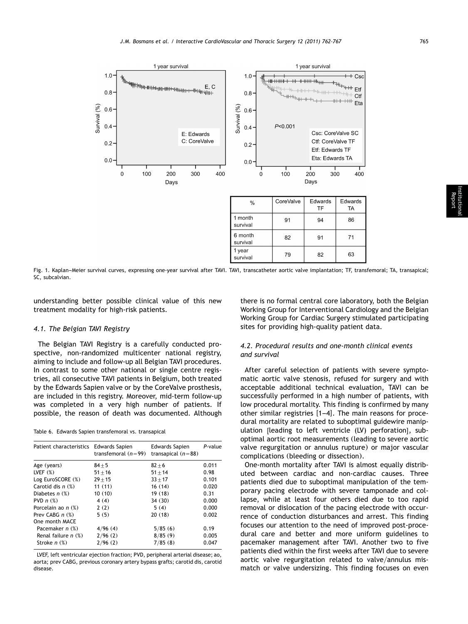<span id="page-3-0"></span>

Fig. 1. Kaplan–Meier survival curves, expressing one-year survival after TAVI. TAVI, transcatheter aortic valve implantation; TF, transfemoral; TA, transapical; SC, subcalvian.

understanding better possible clinical value of this new treatment modality for high-risk patients.

#### *4.1. The Belgian TAVI Registry*

The Belgian TAVI Registry is a carefully conducted prospective, non-randomized multicenter national registry, aiming to include and follow-up all Belgian TAVI procedures. In contrast to some other national or single centre registries, all consecutive TAVI patients in Belgium, both treated by the Edwards Sapien valve or by the CoreValve prosthesis, are included in this registry. Moreover, mid-term follow-up was completed in a very high number of patients. If possible, the reason of death was documented. Although

Table 6. Edwards Sapien transfemoral vs. transapical

| Patient characteristics Edwards Sapien | <b>Edwards Sapien</b> | P-value              |
|----------------------------------------|-----------------------|----------------------|
|                                        |                       |                      |
| $84 + 5$                               | $82 + 6$              | 0.011                |
| $51 + 16$                              | $51 + 14$             | 0.98                 |
| $29 + 15$                              | $33 + 17$             | 0.101                |
| 11(11)                                 | 16(14)                | 0.020                |
| 10(10)                                 | 19(18)                | 0.31                 |
| 4(4)                                   | 34(30)                | 0.000                |
| 2(2)                                   | 5(4)                  | 0.000                |
| 5(5)                                   | 20(18)                | 0.002                |
|                                        |                       |                      |
| 4/96(4)                                | 5/85(6)               | 0.19                 |
| 2/96(2)                                | 8/85(9)               | 0.005                |
| 2/96(2)                                | 7/85(8)               | 0.047                |
|                                        | transfemoral $(n=99)$ | transapical $(n=88)$ |

LVEF, left ventricular ejection fraction; PVD, peripheral arterial disease; ao, aorta; prev CABG, previous coronary artery bypass grafts; carotid dis, carotid disease.

there is no formal central core laboratory, both the Belgian Working Group for Interventional Cardiology and the Belgian Working Group for Cardiac Surgery stimulated participating sites for providing high-quality patient data.

# *4.2. Procedural results and one-month clinical events and survival*

After careful selection of patients with severe symptomatic aortic valve stenosis, refused for surgery and with acceptable additional technical evaluation, TAVI can be successfully performed in a high number of patients, with low procedural mortality. This finding is confirmed by many other similar registries  $[1-4]$ . The main reasons for procedural mortality are rel[ated](#page-4-0) [to](#page-4-0) suboptimal guidewire manipulation [leading to left ventricle (LV) perforation], suboptimal aortic root measurements (leading to severe aortic valve regurgitation or annulus rupture) or major vascular complications (bleeding or dissection).

One-month mortality after TAVI is almost equally distributed between cardiac and non-cardiac causes. Three patients died due to suboptimal manipulation of the temporary pacing electrode with severe tamponade and collapse, while at least four others died due to too rapid removal or dislocation of the pacing electrode with occurrence of conduction disturbances and arrest. This finding focuses our attention to the need of improved post-procedural care and better and more uniform guidelines to pacemaker management after TAVI. Another two to five patients died within the first weeks after TAVI due to severe aortic valve regurgitation related to valve/annulus mismatch or valve undersizing. This finding focuses on even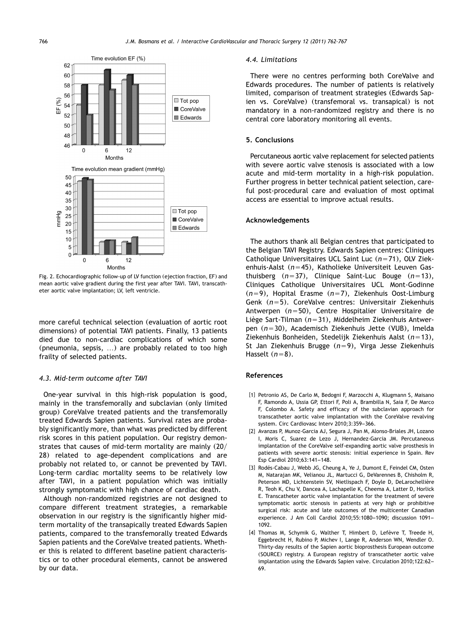<span id="page-4-0"></span>

Fig. 2. Echocardiographic follow-up of LV function (ejection fraction, EF) and mean aortic valve gradient during the first year after TAVI. TAVI, transcatheter aortic valve implantation; LV, left ventricle.

more careful technical selection (evaluation of aortic root dimensions) of potential TAVI patients. Finally, 13 patients died due to non-cardiac complications of which some (pneumonia, sepsis, ...) are probably related to too high frailty of selected patients.

#### *4.3. Mid-term outcome after TAVI*

One-year survival in this high-risk population is good, mainly in the transfemorally and subclavian (only limited group) CoreValve treated patients and the transfemorally treated Edwards Sapien patients. Survival rates are probably significantly more, than what was predicted by different risk scores in this patient population. Our registry demonstrates that causes of mid-term mortality are mainly  $(20/$ 28) related to age-dependent complications and are probably not related to, or cannot be prevented by TAVI. Long-term cardiac mortality seems to be relatively low after TAVI, in a patient population which was initially strongly symptomatic with high chance of cardiac death.

Although non-randomized registries are not designed to compare different treatment strategies, a remarkable observation in our registry is the significantly higher midterm mortality of the transapically treated Edwards Sapien patients, compared to the transfemorally treated Edwards Sapien patients and the CoreValve treated patients. Whether this is related to different baseline patient characteristics or to other procedural elements, cannot be answered by our data.

#### *4.4. Limitations*

There were no centres performing both CoreValve and Edwards procedures. The number of patients is relatively limited, comparison of treatment strategies (Edwards Sapien vs. CoreValve) (transfemoral vs. transapical) is not mandatory in a non-randomized registry and there is no central core laboratory monitoring all events.

#### **5. Conclusions**

Percutaneous aortic valve replacement for selected patients with severe aortic valve stenosis is associated with a low acute and mid-term mortality in a high-risk population. Further progress in better technical patient selection, careful post-procedural care and evaluation of most optimal access are essential to improve actual results.

# **Acknowledgements**

The authors thank all Belgian centres that participated to the Belgian TAVI Registry. Edwards Sapien centres: Cliniques Catholique Universitaires UCL Saint Luc (n=71), OLV Ziekenhuis-Aalst (n=45), Katholieke Universiteit Leuven Gasthuisberg  $(n=37)$ , Clinique Saint-Luc Bouge  $(n=13)$ , Cliniques Catholique Universitaires UCL Mont-Godinne (*n*=9), Hopital Erasme (*n*=7), Ziekenhuis Oost-Limburg Genk (n=5). CoreValve centres: Universitair Ziekenhuis Antwerpen (n=50), Centre Hospitalier Universitaire de Liège Sart-Tilman (*n*=31), Middelheim Ziekenhuis Antwerpen (n=30), Academisch Ziekenhuis Jette (VUB), Imelda Ziekenhuis Bonheiden, Stedelijk Ziekenhuis Aalst (n=13), St Jan Ziekenhuis Brugge (n=9), Virga Jesse Ziekenhuis Hasselt  $(n=8)$ .

## **References**

- [1] Petronio AS, De Carlo M, Bedogni F, Marzocchi A, Klugmann S, Maisano F, Ramondo A, Ussia GP, Ettori F, Poli A, Brambilla N, Saia F, De Marco F, Colombo A. Safety and efficacy of the subclavian approach for transcatheter aortic valve implantation with the CoreValve revalving system. Circ Cardiovasc Interv 2010;3:359–366.
- [2] Avanzas P, Munoz-Garcia AJ, Segura J, Pan M, Alonso-Briales JH, Lozano I, Moris C, Suarez de Lezo J, Hernandez-Garcia JM. Percutaneous implantation of the CoreValve self-expanding aortic valve prosthesis in patients with severe aortic stenosis: initial experience in Spain. Rev Esp Cardiol 2010;63:141–148.
- [3] Rodés-Cabau J, Webb JG, Cheung A, Ye J, Dumont E, Feindel CM, Osten M, Natarajan MK, Velianou JL, Martucci G, DeVarennes B, Chisholm R, Peterson MD, Lichtenstein SV, Nietlispach F, Doyle D, DeLarochellière R, Teoh K, Chu V, Dancea A, Lachapelle K, Cheema A, Latter D, Horlick E. Transcatheter aortic valve implantation for the treatment of severe symptomatic aortic stenosis in patients at very high or prohibitive surgical risk: acute and late outcomes of the multicenter Canadian experience. J Am Coll Cardiol 2010;55:1080–1090; discussion 1091– 1092.
- [4] Thomas M, Schymik G, Walther T, Himbert D, Lefèvre T, Treede H, Eggebrecht H, Rubino P, Michev I, Lange R, Anderson WN, Wendler O. Thirty-day results of the Sapien aortic bioprosthesis European outcome (SOURCE) registry. A European registry of transcatheter aortic valve implantation using the Edwards Sapien valve. Circulation 2010;122:62– 69.